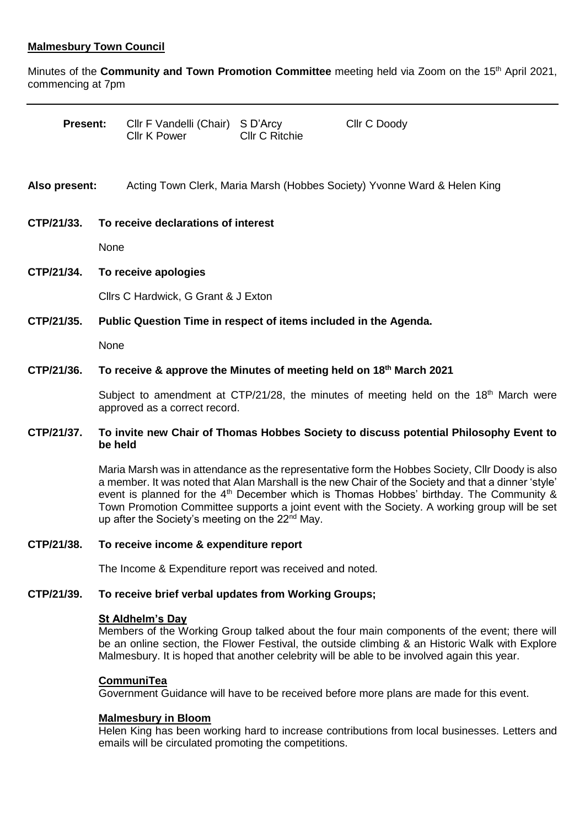# **Malmesbury Town Council**

Minutes of the **Community and Town Promotion Committee** meeting held via Zoom on the 15th April 2021, commencing at 7pm

| <b>Present:</b> |                                                                                                                                                                                                                                                                                                                                                                                                                                                                     | Cllr F Vandelli (Chair) S D'Arcy<br><b>Cllr K Power</b>                  | <b>Cllr C Ritchie</b> | Cllr C Doody |  |
|-----------------|---------------------------------------------------------------------------------------------------------------------------------------------------------------------------------------------------------------------------------------------------------------------------------------------------------------------------------------------------------------------------------------------------------------------------------------------------------------------|--------------------------------------------------------------------------|-----------------------|--------------|--|
| Also present:   |                                                                                                                                                                                                                                                                                                                                                                                                                                                                     | Acting Town Clerk, Maria Marsh (Hobbes Society) Yvonne Ward & Helen King |                       |              |  |
| CTP/21/33.      |                                                                                                                                                                                                                                                                                                                                                                                                                                                                     | To receive declarations of interest                                      |                       |              |  |
|                 |                                                                                                                                                                                                                                                                                                                                                                                                                                                                     | None                                                                     |                       |              |  |
| CTP/21/34.      | To receive apologies                                                                                                                                                                                                                                                                                                                                                                                                                                                |                                                                          |                       |              |  |
|                 | Cllrs C Hardwick, G Grant & J Exton                                                                                                                                                                                                                                                                                                                                                                                                                                 |                                                                          |                       |              |  |
| CTP/21/35.      | Public Question Time in respect of items included in the Agenda.                                                                                                                                                                                                                                                                                                                                                                                                    |                                                                          |                       |              |  |
|                 | None                                                                                                                                                                                                                                                                                                                                                                                                                                                                |                                                                          |                       |              |  |
| CTP/21/36.      | To receive & approve the Minutes of meeting held on 18 <sup>th</sup> March 2021                                                                                                                                                                                                                                                                                                                                                                                     |                                                                          |                       |              |  |
|                 | Subject to amendment at CTP/21/28, the minutes of meeting held on the 18 <sup>th</sup> March were<br>approved as a correct record.                                                                                                                                                                                                                                                                                                                                  |                                                                          |                       |              |  |
| CTP/21/37.      | To invite new Chair of Thomas Hobbes Society to discuss potential Philosophy Event to<br>be held                                                                                                                                                                                                                                                                                                                                                                    |                                                                          |                       |              |  |
|                 | Maria Marsh was in attendance as the representative form the Hobbes Society, Cllr Doody is also<br>a member. It was noted that Alan Marshall is the new Chair of the Society and that a dinner 'style'<br>event is planned for the $4th$ December which is Thomas Hobbes' birthday. The Community &<br>Town Promotion Committee supports a joint event with the Society. A working group will be set<br>up after the Society's meeting on the 22 <sup>nd</sup> May. |                                                                          |                       |              |  |

## **CTP/21/38. To receive income & expenditure report**

The Income & Expenditure report was received and noted.

#### **CTP/21/39. To receive brief verbal updates from Working Groups;**

#### **St Aldhelm's Day**

Members of the Working Group talked about the four main components of the event; there will be an online section, the Flower Festival, the outside climbing & an Historic Walk with Explore Malmesbury. It is hoped that another celebrity will be able to be involved again this year.

#### **CommuniTea**

Government Guidance will have to be received before more plans are made for this event.

#### **Malmesbury in Bloom**

Helen King has been working hard to increase contributions from local businesses. Letters and emails will be circulated promoting the competitions.